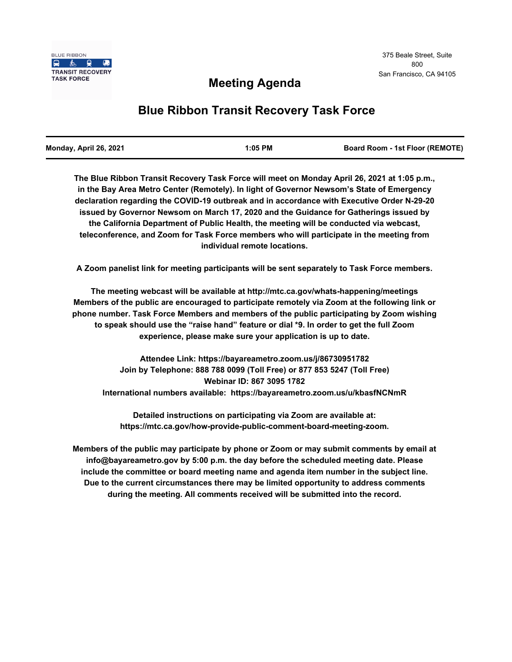## **Meeting Agenda**

# **Blue Ribbon Transit Recovery Task Force**

**The Blue Ribbon Transit Recovery Task Force will meet on Monday April 26, 2021 at 1:05 p.m., in the Bay Area Metro Center (Remotely). In light of Governor Newsom's State of Emergency declaration regarding the COVID-19 outbreak and in accordance with Executive Order N-29-20 issued by Governor Newsom on March 17, 2020 and the Guidance for Gatherings issued by the California Department of Public Health, the meeting will be conducted via webcast, teleconference, and Zoom for Task Force members who will participate in the meeting from individual remote locations.** 

**A Zoom panelist link for meeting participants will be sent separately to Task Force members.**

**The meeting webcast will be available at http://mtc.ca.gov/whats-happening/meetings Members of the public are encouraged to participate remotely via Zoom at the following link or phone number. Task Force Members and members of the public participating by Zoom wishing to speak should use the "raise hand" feature or dial \*9. In order to get the full Zoom experience, please make sure your application is up to date.**

**Attendee Link: https://bayareametro.zoom.us/j/86730951782 Join by Telephone: 888 788 0099 (Toll Free) or 877 853 5247 (Toll Free) Webinar ID: 867 3095 1782 International numbers available: https://bayareametro.zoom.us/u/kbasfNCNmR**

**Detailed instructions on participating via Zoom are available at: https://mtc.ca.gov/how-provide-public-comment-board-meeting-zoom.**

**Members of the public may participate by phone or Zoom or may submit comments by email at info@bayareametro.gov by 5:00 p.m. the day before the scheduled meeting date. Please include the committee or board meeting name and agenda item number in the subject line. Due to the current circumstances there may be limited opportunity to address comments during the meeting. All comments received will be submitted into the record.**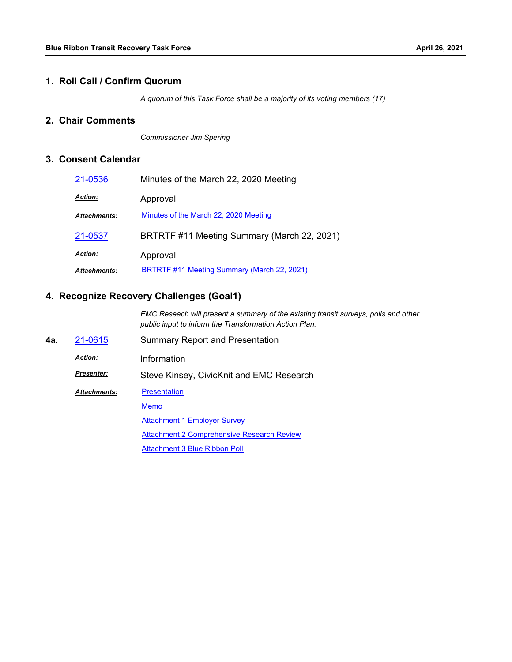#### **1. Roll Call / Confirm Quorum**

*A quorum of this Task Force shall be a majority of its voting members (17)*

## **2. Chair Comments**

*Commissioner Jim Spering*

## **3. Consent Calendar**

| 21-0536             | Minutes of the March 22, 2020 Meeting       |
|---------------------|---------------------------------------------|
| <b>Action:</b>      | Approval                                    |
| <b>Attachments:</b> | Minutes of the March 22, 2020 Meeting       |
| 21-0537             | BRTRTF #11 Meeting Summary (March 22, 2021) |
| <b>Action:</b>      | Approval                                    |
| <b>Attachments:</b> | BRTRTF #11 Meeting Summary (March 22, 2021) |

## **4. Recognize Recovery Challenges (Goal1)**

*EMC Reseach will present a summary of the existing transit surveys, polls and other public input to inform the Transformation Action Plan.*

**4a.** [21-0615](http://mtc.legistar.com/gateway.aspx?m=l&id=/matter.aspx?key=22208) Summary Report and Presentation *Action:* Information *Presenter:* Steve Kinsey, CivicKnit and EMC Research **[Presentation](http://mtc.legistar.com/gateway.aspx?M=F&ID=a74baebe-065b-4505-8d6b-0f4791719ccb.pdf)** [Memo](http://mtc.legistar.com/gateway.aspx?M=F&ID=c9dd0540-4705-4f01-b812-7bccc9e2243c.pdf) **[Attachment 1 Employer Survey](http://mtc.legistar.com/gateway.aspx?M=F&ID=9de5852b-2aea-4cb0-9adb-9ed84c7aed58.pdf) [Attachment 2 Comprehensive Research Review](http://mtc.legistar.com/gateway.aspx?M=F&ID=6c6de122-f30c-4240-be7f-590dd34e444a.pdf)** [Attachment 3 Blue Ribbon Poll](http://mtc.legistar.com/gateway.aspx?M=F&ID=3d9e080c-f199-4045-8e26-dcfb111ef17f.pdf) *Attachments:*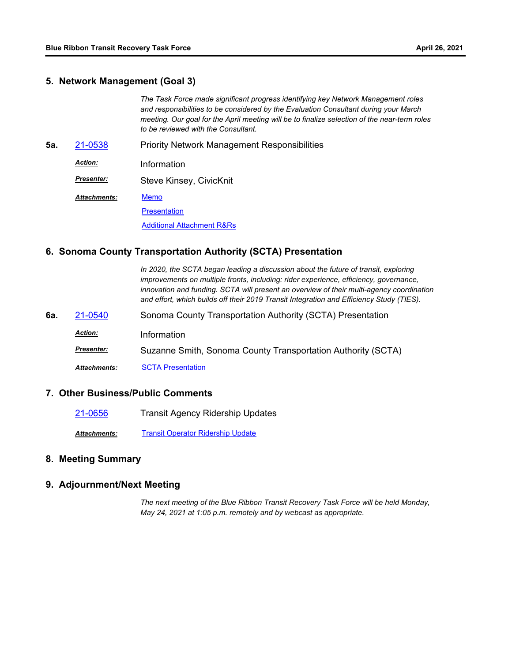#### **5. Network Management (Goal 3)**

*The Task Force made significant progress identifying key Network Management roles and responsibilities to be considered by the Evaluation Consultant during your March meeting. Our goal for the April meeting will be to finalize selection of the near-term roles to be reviewed with the Consultant.*

**5a.** [21-0538](http://mtc.legistar.com/gateway.aspx?m=l&id=/matter.aspx?key=22131) Priority Network Management Responsibilities

*Action:* Information

Steve Kinsey, CivicKnit *Presenter:*

**[Memo](http://mtc.legistar.com/gateway.aspx?M=F&ID=807fcddb-bb83-4432-850e-33511aa27679.pdf)** *Attachments:*

**[Presentation](http://mtc.legistar.com/gateway.aspx?M=F&ID=7799af99-f4e0-47c1-b0d3-1a95bcbeaff3.pdf)** 

[Additional Attachment R&Rs](http://mtc.legistar.com/gateway.aspx?M=F&ID=e593a87d-c7f5-4a76-b291-04e246fa8435.pdf)

## **6. Sonoma County Transportation Authority (SCTA) Presentation**

In 2020, the SCTA began leading a discussion about the future of transit, exploring *improvements on multiple fronts, including: rider experience, efficiency, governance, innovation and funding. SCTA will present an overview of their multi-agency coordination and effort, which builds off their 2019 Transit Integration and Efficiency Study (TIES).*

- **6a.** [21-0540](http://mtc.legistar.com/gateway.aspx?m=l&id=/matter.aspx?key=22133) Sonoma County Transportation Authority (SCTA) Presentation
	- *Action:* Information
		- Suzanne Smith, Sonoma County Transportation Authority (SCTA) *Presenter:*

*Attachments:* [SCTA Presentation](http://mtc.legistar.com/gateway.aspx?M=F&ID=05ad3655-0b10-4580-9efe-118a888eb13f.pdf)

#### **7. Other Business/Public Comments**

[21-0656](http://mtc.legistar.com/gateway.aspx?m=l&id=/matter.aspx?key=22249) Transit Agency Ridership Updates

*Attachments:* [Transit Operator Ridership Update](http://mtc.legistar.com/gateway.aspx?M=F&ID=595d37af-5c80-4668-a358-e6fe6c463fc6.pdf)

## **8. Meeting Summary**

## **9. Adjournment/Next Meeting**

*The next meeting of the Blue Ribbon Transit Recovery Task Force will be held Monday, May 24, 2021 at 1:05 p.m. remotely and by webcast as appropriate.*